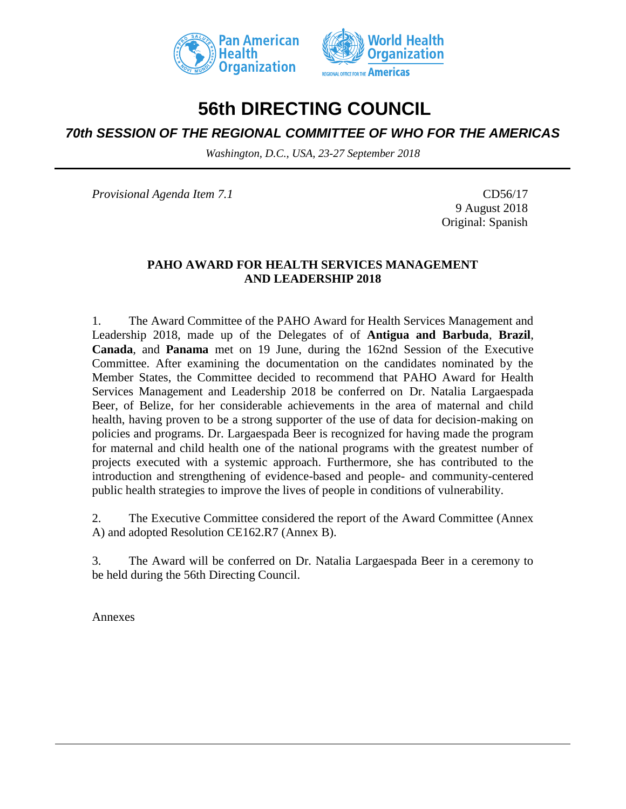



# **56th DIRECTING COUNCIL**

## *70th SESSION OF THE REGIONAL COMMITTEE OF WHO FOR THE AMERICAS*

*Washington, D.C., USA, 23-27 September 2018*

*Provisional Agenda Item 7.1* CD56/17

9 August 2018 Original: Spanish

### **PAHO AWARD FOR HEALTH SERVICES MANAGEMENT AND LEADERSHIP 2018**

1. The Award Committee of the PAHO Award for Health Services Management and Leadership 2018, made up of the Delegates of of **Antigua and Barbuda**, **Brazil**, **Canada**, and **Panama** met on 19 June, during the 162nd Session of the Executive Committee. After examining the documentation on the candidates nominated by the Member States, the Committee decided to recommend that PAHO Award for Health Services Management and Leadership 2018 be conferred on Dr. Natalia Largaespada Beer, of Belize, for her considerable achievements in the area of maternal and child health, having proven to be a strong supporter of the use of data for decision-making on policies and programs. Dr. Largaespada Beer is recognized for having made the program for maternal and child health one of the national programs with the greatest number of projects executed with a systemic approach. Furthermore, she has contributed to the introduction and strengthening of evidence-based and people- and community-centered public health strategies to improve the lives of people in conditions of vulnerability.

2. The Executive Committee considered the report of the Award Committee (Annex A) and adopted Resolution CE162.R7 (Annex B).

3. The Award will be conferred on Dr. Natalia Largaespada Beer in a ceremony to be held during the 56th Directing Council.

Annexes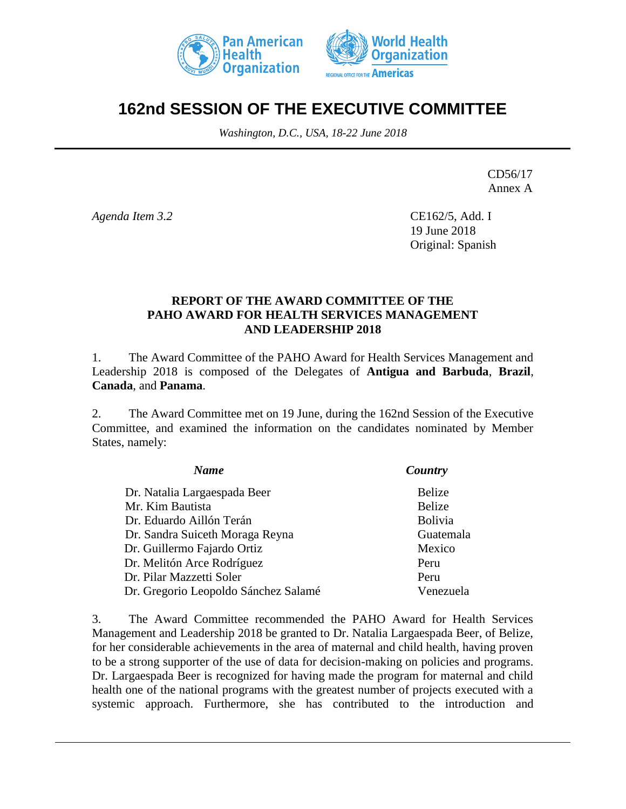



# **162nd SESSION OF THE EXECUTIVE COMMITTEE**

*Washington, D.C., USA, 18-22 June 2018*

CD56/17 Annex A

*Agenda Item 3.2*

CE162/5, Add. I 19 June 2018 Original: Spanish

### **REPORT OF THE AWARD COMMITTEE OF THE PAHO AWARD FOR HEALTH SERVICES MANAGEMENT AND LEADERSHIP 2018**

1. The Award Committee of the PAHO Award for Health Services Management and Leadership 2018 is composed of the Delegates of **Antigua and Barbuda**, **Brazil**, **Canada**, and **Panama**.

2. The Award Committee met on 19 June, during the 162nd Session of the Executive Committee, and examined the information on the candidates nominated by Member States, namely:

| <b>Name</b>                          | Country        |
|--------------------------------------|----------------|
| Dr. Natalia Largaespada Beer         | <b>Belize</b>  |
| Mr. Kim Bautista                     | Belize         |
| Dr. Eduardo Aillón Terán             | <b>Bolivia</b> |
| Dr. Sandra Suiceth Moraga Reyna      | Guatemala      |
| Dr. Guillermo Fajardo Ortiz          | Mexico         |
| Dr. Melitón Arce Rodríguez           | Peru           |
| Dr. Pilar Mazzetti Soler             | Peru           |
| Dr. Gregorio Leopoldo Sánchez Salamé | Venezuela      |

3. The Award Committee recommended the PAHO Award for Health Services Management and Leadership 2018 be granted to Dr. Natalia Largaespada Beer, of Belize, for her considerable achievements in the area of maternal and child health, having proven to be a strong supporter of the use of data for decision-making on policies and programs. Dr. Largaespada Beer is recognized for having made the program for maternal and child health one of the national programs with the greatest number of projects executed with a systemic approach. Furthermore, she has contributed to the introduction and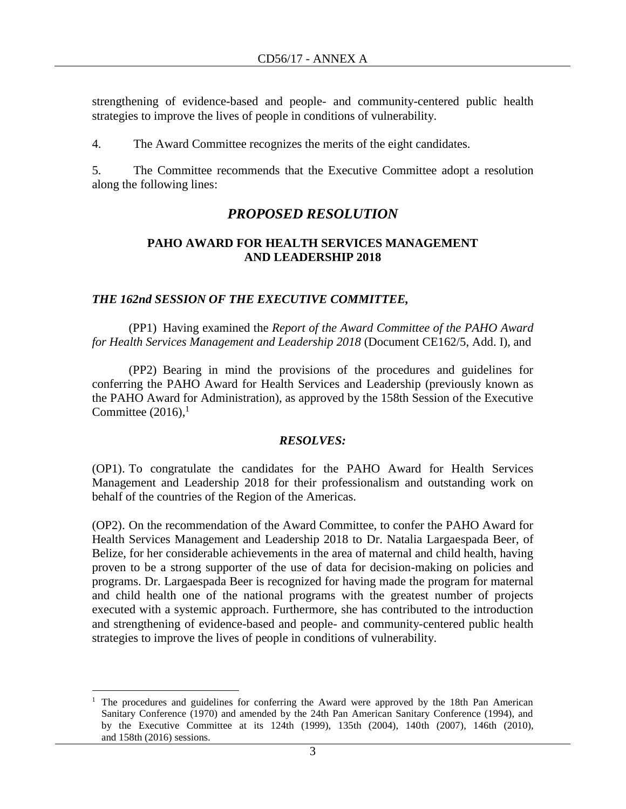strengthening of evidence-based and people- and community-centered public health strategies to improve the lives of people in conditions of vulnerability.

4. The Award Committee recognizes the merits of the eight candidates.

5. The Committee recommends that the Executive Committee adopt a resolution along the following lines:

### *PROPOSED RESOLUTION*

### **PAHO AWARD FOR HEALTH SERVICES MANAGEMENT AND LEADERSHIP 2018**

### *THE 162nd SESSION OF THE EXECUTIVE COMMITTEE,*

(PP1) Having examined the *Report of the Award Committee of the PAHO Award for Health Services Management and Leadership 2018* (Document CE162/5, Add. I), and

(PP2) Bearing in mind the provisions of the procedures and guidelines for conferring the PAHO Award for Health Services and Leadership (previously known as the PAHO Award for Administration), as approved by the 158th Session of the Executive Committee  $(2016)$ ,<sup>1</sup>

#### *RESOLVES:*

(OP1). To congratulate the candidates for the PAHO Award for Health Services Management and Leadership 2018 for their professionalism and outstanding work on behalf of the countries of the Region of the Americas.

(OP2). On the recommendation of the Award Committee, to confer the PAHO Award for Health Services Management and Leadership 2018 to Dr. Natalia Largaespada Beer, of Belize, for her considerable achievements in the area of maternal and child health, having proven to be a strong supporter of the use of data for decision-making on policies and programs. Dr. Largaespada Beer is recognized for having made the program for maternal and child health one of the national programs with the greatest number of projects executed with a systemic approach. Furthermore, she has contributed to the introduction and strengthening of evidence-based and people- and community-centered public health strategies to improve the lives of people in conditions of vulnerability.

 $\overline{a}$ 

<sup>1</sup> The procedures and guidelines for conferring the Award were approved by the 18th Pan American Sanitary Conference (1970) and amended by the 24th Pan American Sanitary Conference (1994), and by the Executive Committee at its 124th (1999), 135th (2004), 140th (2007), 146th (2010), and 158th (2016) sessions.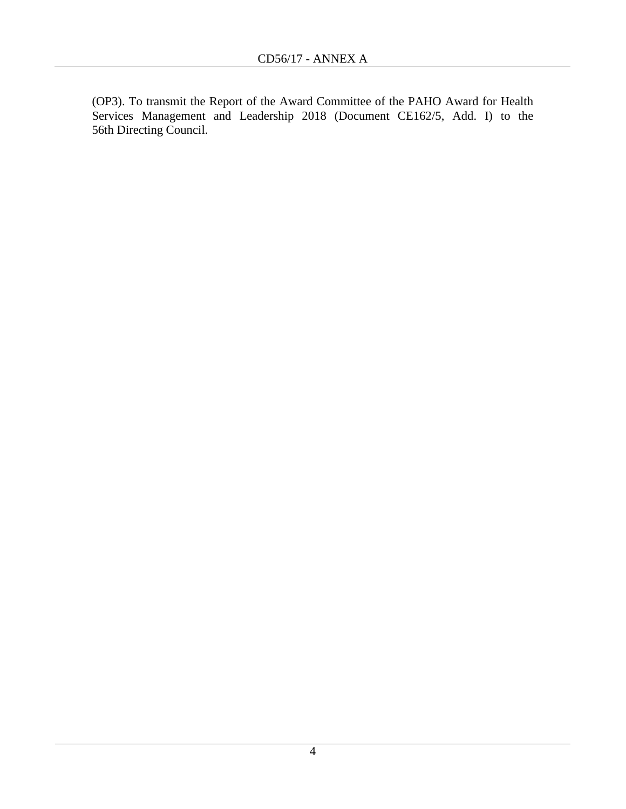(OP3). To transmit the Report of the Award Committee of the PAHO Award for Health Services Management and Leadership 2018 (Document CE162/5, Add. I) to the 56th Directing Council.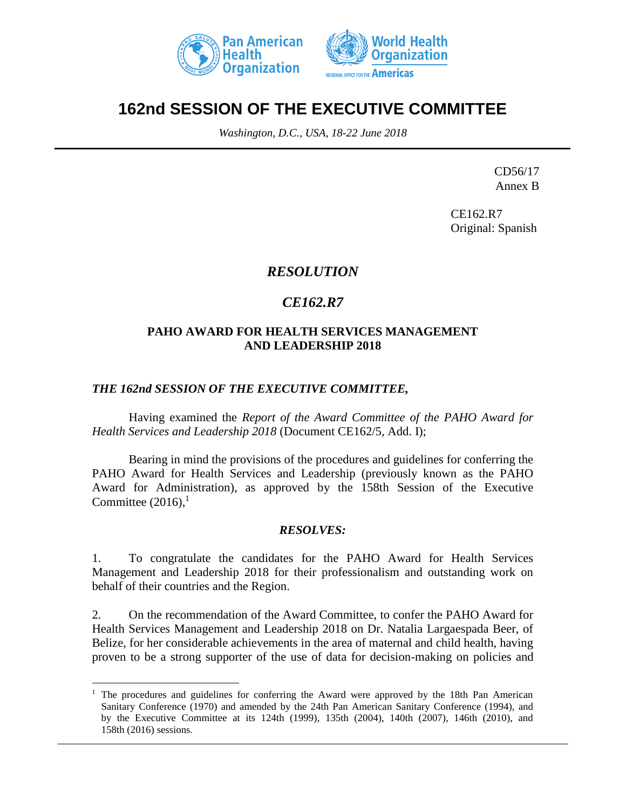



# **162nd SESSION OF THE EXECUTIVE COMMITTEE**

*Washington, D.C., USA, 18-22 June 2018*

CD56/17 Annex B

CE162.R7 Original: Spanish

## *RESOLUTION*

## *CE162.R7*

### **PAHO AWARD FOR HEALTH SERVICES MANAGEMENT AND LEADERSHIP 2018**

### *THE 162nd SESSION OF THE EXECUTIVE COMMITTEE,*

 $\overline{a}$ 

Having examined the *Report of the Award Committee of the PAHO Award for Health Services and Leadership 2018* (Document CE162/5, Add. I);

Bearing in mind the provisions of the procedures and guidelines for conferring the PAHO Award for Health Services and Leadership (previously known as the PAHO Award for Administration), as approved by the 158th Session of the Executive Committee  $(2016)$ ,<sup>1</sup>

### *RESOLVES:*

1. To congratulate the candidates for the PAHO Award for Health Services Management and Leadership 2018 for their professionalism and outstanding work on behalf of their countries and the Region.

2. On the recommendation of the Award Committee, to confer the PAHO Award for Health Services Management and Leadership 2018 on Dr. Natalia Largaespada Beer, of Belize, for her considerable achievements in the area of maternal and child health, having proven to be a strong supporter of the use of data for decision-making on policies and

<sup>&</sup>lt;sup>1</sup> The procedures and guidelines for conferring the Award were approved by the 18th Pan American Sanitary Conference (1970) and amended by the 24th Pan American Sanitary Conference (1994), and by the Executive Committee at its 124th (1999), 135th (2004), 140th (2007), 146th (2010), and 158th (2016) sessions.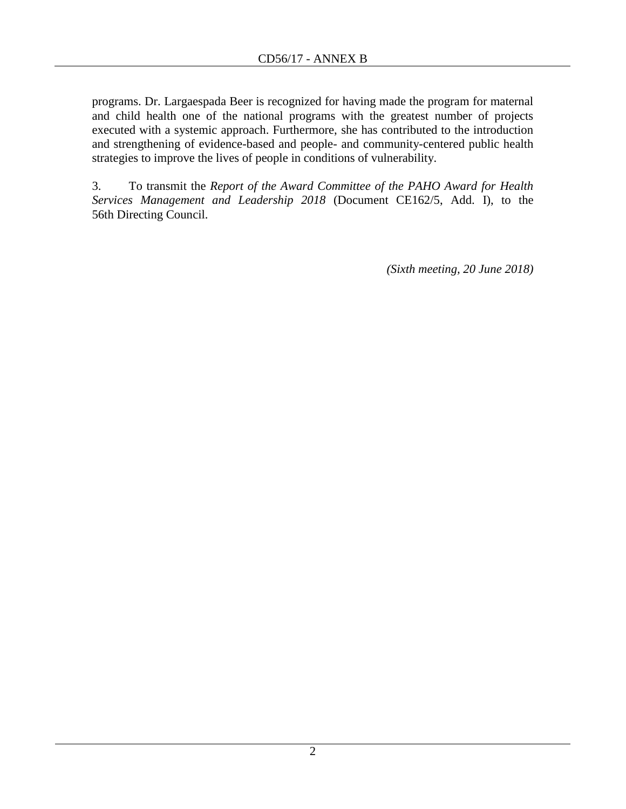programs. Dr. Largaespada Beer is recognized for having made the program for maternal and child health one of the national programs with the greatest number of projects executed with a systemic approach. Furthermore, she has contributed to the introduction and strengthening of evidence-based and people- and community-centered public health strategies to improve the lives of people in conditions of vulnerability.

3. To transmit the *Report of the Award Committee of the PAHO Award for Health Services Management and Leadership 2018* (Document CE162/5, Add. I), to the 56th Directing Council.

*(Sixth meeting, 20 June 2018)*